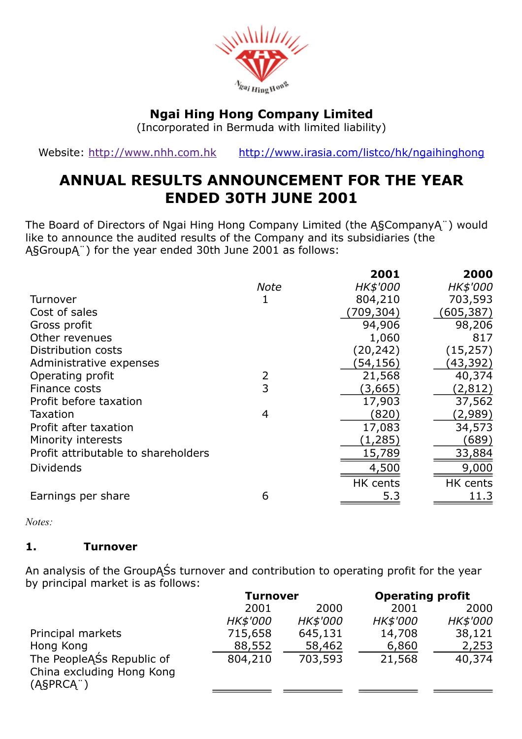

# Ngai Hing Hong Company Limited

(Incorporated in Bermuda with limited liability)

Website: [http://www.nhh.com.hk](http://www.nhh.com.hk/) <http://www.irasia.com/listco/hk/ngaihinghong>

# ANNUAL RESULTS ANNOUNCEMENT FOR THE YEAR ENDED 30TH JUNE 2001

The Board of Directors of Ngai Hing Hong Company Limited (the Ą§CompanyĄ¨) would like to announce the audited results of the Company and its subsidiaries (the Ą§GroupĄ¨) for the year ended 30th June 2001 as follows:

|             | 2001      | 2000       |
|-------------|-----------|------------|
| <b>Note</b> | HK\$'000  | HK\$'000   |
|             | 804,210   | 703,593    |
|             | (709,304) | (605, 387) |
|             | 94,906    | 98,206     |
|             | 1,060     | 817        |
|             | (20, 242) | (15, 257)  |
|             | (54,156)  | (43, 392)  |
| 2           | 21,568    | 40,374     |
| 3           | (3,665)   | (2, 812)   |
|             | 17,903    | 37,562     |
| 4           | (820)     | (2,989)    |
|             | 17,083    | 34,573     |
|             | (1,285)   | (689)      |
|             | 15,789    | 33,884     |
|             | 4,500     | 9,000      |
|             | HK cents  | HK cents   |
| 6           | 5.3       | 11.3       |
|             |           |            |

*Notes:*

### 1. Turnover

An analysis of the GroupĄŚs turnover and contribution to operating profit for the year by principal market is as follows:

|                                                        | <b>Turnover</b> |          | <b>Operating profit</b> |          |
|--------------------------------------------------------|-----------------|----------|-------------------------|----------|
|                                                        | 2001            | 2000     | 2001                    | 2000     |
|                                                        | <i>HK\$'000</i> | HK\$'000 | <b>HK\$'000</b>         | HK\$'000 |
| Principal markets                                      | 715,658         | 645,131  | 14,708                  | 38,121   |
| Hong Kong                                              | 88,552          | 58,462   | 6,860                   | 2,253    |
| The PeopleASs Republic of<br>China excluding Hong Kong | 804,210         | 703,593  | 21,568                  | 40,374   |
| (ASPRCA <sup>"</sup> )                                 |                 |          |                         |          |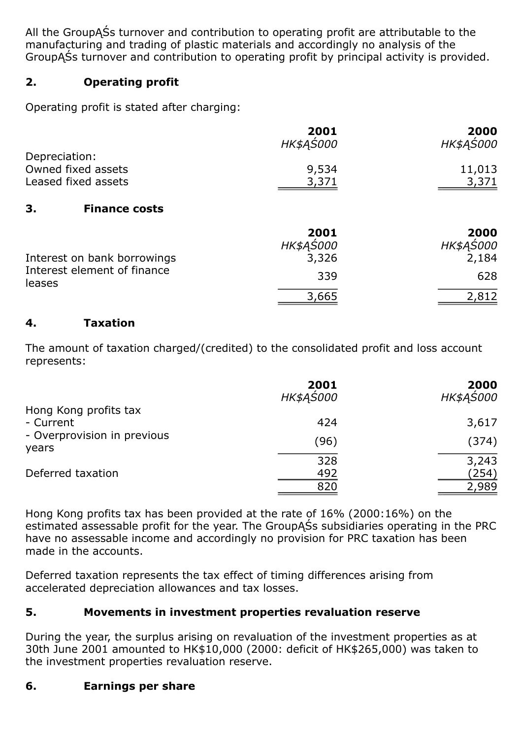All the GroupĄŚs turnover and contribution to operating profit are attributable to the manufacturing and trading of plastic materials and accordingly no analysis of the GroupĄŚs turnover and contribution to operating profit by principal activity is provided.

# 2. Operating profit

Operating profit is stated after charging:

|                     | 2001      | 2000      |
|---------------------|-----------|-----------|
|                     | HK\$AS000 | HK\$AS000 |
| Depreciation:       |           |           |
| Owned fixed assets  | 9,534     | 11,013    |
| Leased fixed assets | 3,371     | 3,371     |
| 2<br>Finance costs  |           |           |

### 3. Finance costs

|                                                                      | 2001      | 2000      |
|----------------------------------------------------------------------|-----------|-----------|
|                                                                      | HK\$AS000 | HK\$AS000 |
| Interest on bank borrowings<br>Interest element of finance<br>leases | 3,326     | 2,184     |
|                                                                      | 339       | 628       |
|                                                                      | 3,665     | 2,812     |

### 4. Taxation

The amount of taxation charged/(credited) to the consolidated profit and loss account represents:

|                                    | 2001<br>HK\$AŚ000 | 2000<br>HK\$AS000 |
|------------------------------------|-------------------|-------------------|
| Hong Kong profits tax<br>- Current | 424               | 3,617             |
| - Overprovision in previous        | (96)              | (374)             |
| years                              | 328               | 3,243             |
| Deferred taxation                  | 492               | (254)             |
|                                    | 820               | 2,989             |

Hong Kong profits tax has been provided at the rate of 16% (2000:16%) on the estimated assessable profit for the year. The GroupĄŚs subsidiaries operating in the PRC have no assessable income and accordingly no provision for PRC taxation has been made in the accounts.

Deferred taxation represents the tax effect of timing differences arising from accelerated depreciation allowances and tax losses.

# 5. Movements in investment properties revaluation reserve

During the year, the surplus arising on revaluation of the investment properties as at 30th June 2001 amounted to HK\$10,000 (2000: deficit of HK\$265,000) was taken to the investment properties revaluation reserve.

# 6. Earnings per share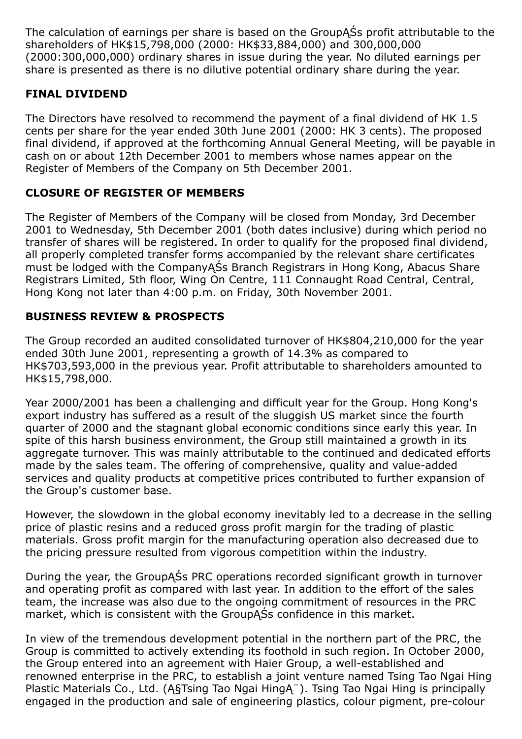The calculation of earnings per share is based on the GroupĄŚs profit attributable to the shareholders of HK\$15,798,000 (2000: HK\$33,884,000) and 300,000,000 (2000:300,000,000) ordinary shares in issue during the year. No diluted earnings per share is presented as there is no dilutive potential ordinary share during the year.

## FINAL DIVIDEND

The Directors have resolved to recommend the payment of a final dividend of HK 1.5 cents per share for the year ended 30th June 2001 (2000: HK 3 cents). The proposed final dividend, if approved at the forthcoming Annual General Meeting, will be payable in cash on or about 12th December 2001 to members whose names appear on the Register of Members of the Company on 5th December 2001.

### CLOSURE OF REGISTER OF MEMBERS

The Register of Members of the Company will be closed from Monday, 3rd December 2001 to Wednesday, 5th December 2001 (both dates inclusive) during which period no transfer of shares will be registered. In order to qualify for the proposed final dividend, all properly completed transfer forms accompanied by the relevant share certificates must be lodged with the CompanyĄŚs Branch Registrars in Hong Kong, Abacus Share Registrars Limited, 5th floor, Wing On Centre, 111 Connaught Road Central, Central, Hong Kong not later than 4:00 p.m. on Friday, 30th November 2001.

### BUSINESS REVIEW & PROSPECTS

The Group recorded an audited consolidated turnover of HK\$804,210,000 for the year ended 30th June 2001, representing a growth of 14.3% as compared to HK\$703,593,000 in the previous year. Profit attributable to shareholders amounted to HK\$15,798,000.

Year 2000/2001 has been a challenging and difficult year for the Group. Hong Kong's export industry has suffered as a result of the sluggish US market since the fourth quarter of 2000 and the stagnant global economic conditions since early this year. In spite of this harsh business environment, the Group still maintained a growth in its aggregate turnover. This was mainly attributable to the continued and dedicated efforts made by the sales team. The offering of comprehensive, quality and value-added services and quality products at competitive prices contributed to further expansion of the Group's customer base.

However, the slowdown in the global economy inevitably led to a decrease in the selling price of plastic resins and a reduced gross profit margin for the trading of plastic materials. Gross profit margin for the manufacturing operation also decreased due to the pricing pressure resulted from vigorous competition within the industry.

During the year, the GroupĄŚs PRC operations recorded significant growth in turnover and operating profit as compared with last year. In addition to the effort of the sales team, the increase was also due to the ongoing commitment of resources in the PRC market, which is consistent with the GroupĄŚs confidence in this market.

In view of the tremendous development potential in the northern part of the PRC, the Group is committed to actively extending its foothold in such region. In October 2000, the Group entered into an agreement with Haier Group, a well-established and renowned enterprise in the PRC, to establish a joint venture named Tsing Tao Ngai Hing Plastic Materials Co., Ltd. (Ą§Tsing Tao Ngai HingĄ¨). Tsing Tao Ngai Hing is principally engaged in the production and sale of engineering plastics, colour pigment, pre-colour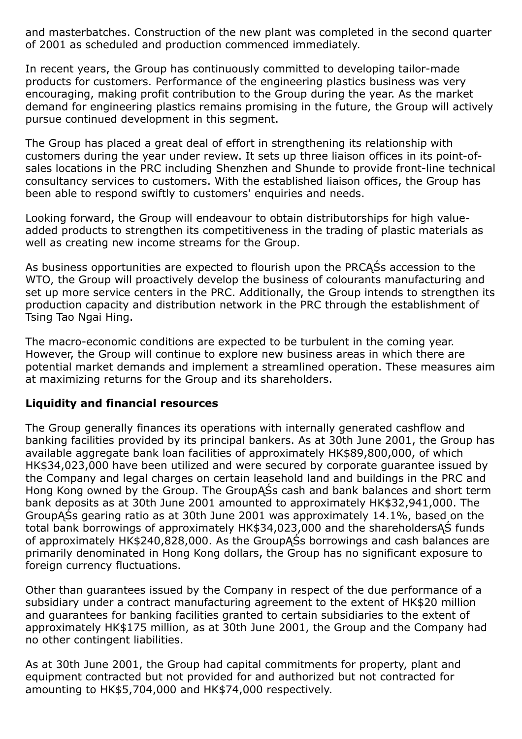and masterbatches. Construction of the new plant was completed in the second quarter of 2001 as scheduled and production commenced immediately.

In recent years, the Group has continuously committed to developing tailor-made products for customers. Performance of the engineering plastics business was very encouraging, making profit contribution to the Group during the year. As the market demand for engineering plastics remains promising in the future, the Group will actively pursue continued development in this segment.

The Group has placed a great deal of effort in strengthening its relationship with customers during the year under review. It sets up three liaison offices in its point-ofsales locations in the PRC including Shenzhen and Shunde to provide front-line technical consultancy services to customers. With the established liaison offices, the Group has been able to respond swiftly to customers' enquiries and needs.

Looking forward, the Group will endeavour to obtain distributorships for high valueadded products to strengthen its competitiveness in the trading of plastic materials as well as creating new income streams for the Group.

As business opportunities are expected to flourish upon the PRCĄŚs accession to the WTO, the Group will proactively develop the business of colourants manufacturing and set up more service centers in the PRC. Additionally, the Group intends to strengthen its production capacity and distribution network in the PRC through the establishment of Tsing Tao Ngai Hing.

The macro-economic conditions are expected to be turbulent in the coming year. However, the Group will continue to explore new business areas in which there are potential market demands and implement a streamlined operation. These measures aim at maximizing returns for the Group and its shareholders.

#### Liquidity and financial resources

The Group generally finances its operations with internally generated cashflow and banking facilities provided by its principal bankers. As at 30th June 2001, the Group has available aggregate bank loan facilities of approximately HK\$89,800,000, of which HK\$34,023,000 have been utilized and were secured by corporate guarantee issued by the Company and legal charges on certain leasehold land and buildings in the PRC and Hong Kong owned by the Group. The GroupĄŚs cash and bank balances and short term bank deposits as at 30th June 2001 amounted to approximately HK\$32,941,000. The GroupĄŚs gearing ratio as at 30th June 2001 was approximately 14.1%, based on the total bank borrowings of approximately HK\$34,023,000 and the shareholdersĄŚ funds of approximately HK\$240,828,000. As the GroupĄŚs borrowings and cash balances are primarily denominated in Hong Kong dollars, the Group has no significant exposure to foreign currency fluctuations.

Other than guarantees issued by the Company in respect of the due performance of a subsidiary under a contract manufacturing agreement to the extent of HK\$20 million and guarantees for banking facilities granted to certain subsidiaries to the extent of approximately HK\$175 million, as at 30th June 2001, the Group and the Company had no other contingent liabilities.

As at 30th June 2001, the Group had capital commitments for property, plant and equipment contracted but not provided for and authorized but not contracted for amounting to HK\$5,704,000 and HK\$74,000 respectively.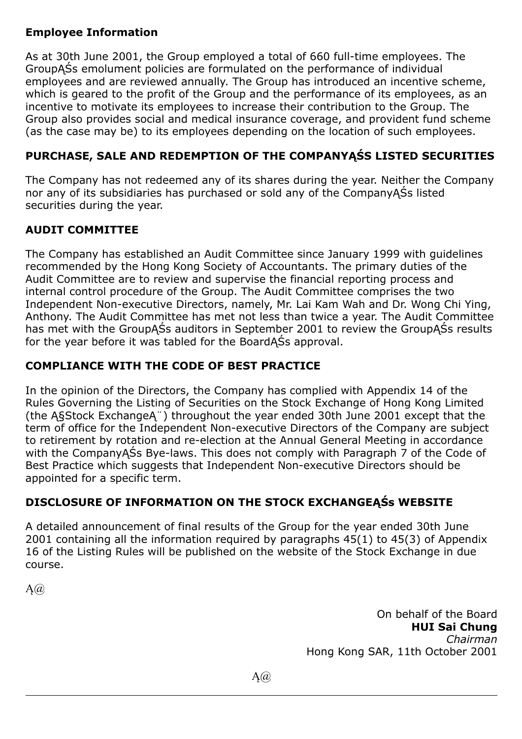# Employee Information

As at 30th June 2001, the Group employed a total of 660 full-time employees. The GroupĄŚs emolument policies are formulated on the performance of individual employees and are reviewed annually. The Group has introduced an incentive scheme, which is geared to the profit of the Group and the performance of its employees, as an incentive to motivate its employees to increase their contribution to the Group. The Group also provides social and medical insurance coverage, and provident fund scheme (as the case may be) to its employees depending on the location of such employees.

# PURCHASE, SALE AND REDEMPTION OF THE COMPANYĄŚS LISTED SECURITIES

The Company has not redeemed any of its shares during the year. Neither the Company nor any of its subsidiaries has purchased or sold any of the CompanyĄŚs listed securities during the year.

# AUDIT COMMITTEE

The Company has established an Audit Committee since January 1999 with guidelines recommended by the Hong Kong Society of Accountants. The primary duties of the Audit Committee are to review and supervise the financial reporting process and internal control procedure of the Group. The Audit Committee comprises the two Independent Non-executive Directors, namely, Mr. Lai Kam Wah and Dr. Wong Chi Ying, Anthony. The Audit Committee has met not less than twice a year. The Audit Committee has met with the GroupASs auditors in September 2001 to review the GroupASs results for the year before it was tabled for the BoardĄŚs approval.

# COMPLIANCE WITH THE CODE OF BEST PRACTICE

In the opinion of the Directors, the Company has complied with Appendix 14 of the Rules Governing the Listing of Securities on the Stock Exchange of Hong Kong Limited (the Ą§Stock ExchangeĄ¨) throughout the year ended 30th June 2001 except that the term of office for the Independent Non-executive Directors of the Company are subject to retirement by rotation and re-election at the Annual General Meeting in accordance with the CompanyASs Bye-laws. This does not comply with Paragraph 7 of the Code of Best Practice which suggests that Independent Non-executive Directors should be appointed for a specific term.

# DISCLOSURE OF INFORMATION ON THE STOCK EXCHANGEĄŚs WEBSITE

A detailed announcement of final results of the Group for the year ended 30th June 2001 containing all the information required by paragraphs 45(1) to 45(3) of Appendix 16 of the Listing Rules will be published on the website of the Stock Exchange in due course.

 $A(\widehat{a})$ 

On behalf of the Board HUI Sai Chung Chairman Hong Kong SAR, 11th October 2001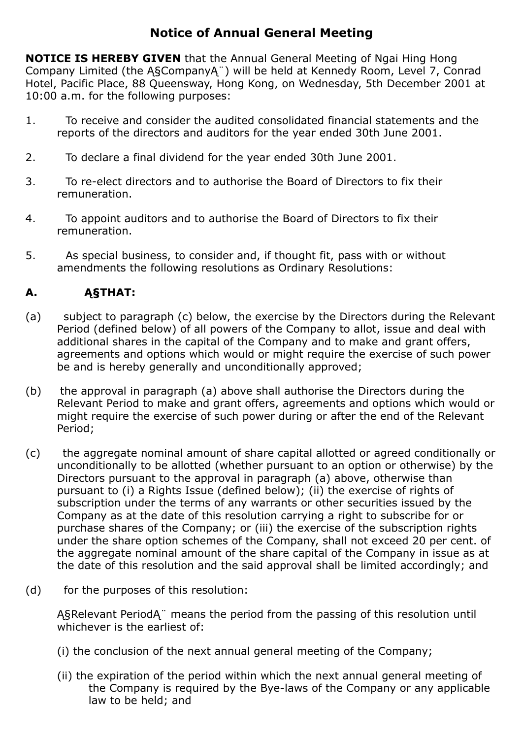# Notice of Annual General Meeting

NOTICE IS HEREBY GIVEN that the Annual General Meeting of Ngai Hing Hong Company Limited (the Ą§CompanyĄ¨) will be held at Kennedy Room, Level 7, Conrad Hotel, Pacific Place, 88 Queensway, Hong Kong, on Wednesday, 5th December 2001 at 10:00 a.m. for the following purposes:

- 1. To receive and consider the audited consolidated financial statements and the reports of the directors and auditors for the year ended 30th June 2001.
- 2. To declare a final dividend for the year ended 30th June 2001.
- 3. To re-elect directors and to authorise the Board of Directors to fix their remuneration.
- 4. To appoint auditors and to authorise the Board of Directors to fix their remuneration.
- 5. As special business, to consider and, if thought fit, pass with or without amendments the following resolutions as Ordinary Resolutions:

# A. Ą§THAT:

- (a) subject to paragraph (c) below, the exercise by the Directors during the Relevant Period (defined below) of all powers of the Company to allot, issue and deal with additional shares in the capital of the Company and to make and grant offers, agreements and options which would or might require the exercise of such power be and is hereby generally and unconditionally approved;
- (b) the approval in paragraph (a) above shall authorise the Directors during the Relevant Period to make and grant offers, agreements and options which would or might require the exercise of such power during or after the end of the Relevant Period;
- (c) the aggregate nominal amount of share capital allotted or agreed conditionally or unconditionally to be allotted (whether pursuant to an option or otherwise) by the Directors pursuant to the approval in paragraph (a) above, otherwise than pursuant to (i) a Rights Issue (defined below); (ii) the exercise of rights of subscription under the terms of any warrants or other securities issued by the Company as at the date of this resolution carrying a right to subscribe for or purchase shares of the Company; or (iii) the exercise of the subscription rights under the share option schemes of the Company, shall not exceed 20 per cent. of the aggregate nominal amount of the share capital of the Company in issue as at the date of this resolution and the said approval shall be limited accordingly; and
- (d) for the purposes of this resolution:

Ą§Relevant PeriodĄ¨ means the period from the passing of this resolution until whichever is the earliest of:

- (i) the conclusion of the next annual general meeting of the Company;
- (ii) the expiration of the period within which the next annual general meeting of the Company is required by the Bye-laws of the Company or any applicable law to be held; and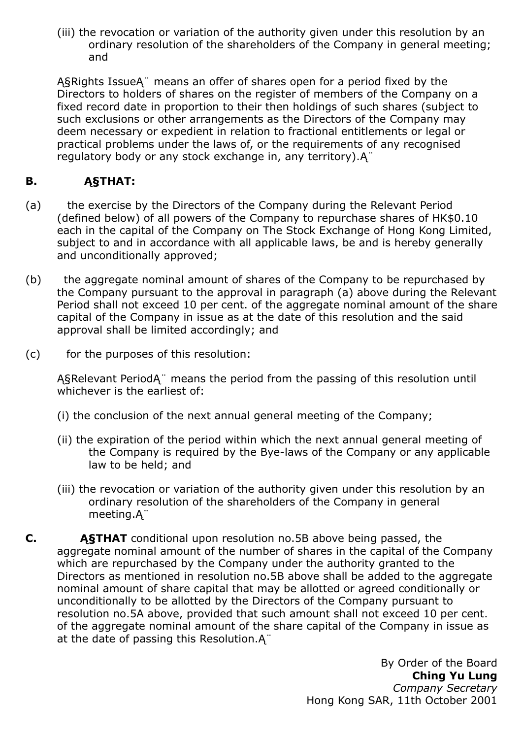(iii) the revocation or variation of the authority given under this resolution by an ordinary resolution of the shareholders of the Company in general meeting; and

Ą§Rights IssueĄ¨ means an offer of shares open for a period fixed by the Directors to holders of shares on the register of members of the Company on a fixed record date in proportion to their then holdings of such shares (subject to such exclusions or other arrangements as the Directors of the Company may deem necessary or expedient in relation to fractional entitlements or legal or practical problems under the laws of, or the requirements of any recognised regulatory body or any stock exchange in, any territory).Ą¨

# B. Ą§THAT:

- (a) the exercise by the Directors of the Company during the Relevant Period (defined below) of all powers of the Company to repurchase shares of HK\$0.10 each in the capital of the Company on The Stock Exchange of Hong Kong Limited, subject to and in accordance with all applicable laws, be and is hereby generally and unconditionally approved;
- (b) the aggregate nominal amount of shares of the Company to be repurchased by the Company pursuant to the approval in paragraph (a) above during the Relevant Period shall not exceed 10 per cent. of the aggregate nominal amount of the share capital of the Company in issue as at the date of this resolution and the said approval shall be limited accordingly; and
- (c) for the purposes of this resolution:

Ą§Relevant PeriodĄ¨ means the period from the passing of this resolution until whichever is the earliest of:

- (i) the conclusion of the next annual general meeting of the Company;
- (ii) the expiration of the period within which the next annual general meeting of the Company is required by the Bye-laws of the Company or any applicable law to be held; and
- (iii) the revocation or variation of the authority given under this resolution by an ordinary resolution of the shareholders of the Company in general meeting.Ą¨
- C. Ą§THAT conditional upon resolution no.5B above being passed, the aggregate nominal amount of the number of shares in the capital of the Company which are repurchased by the Company under the authority granted to the Directors as mentioned in resolution no.5B above shall be added to the aggregate nominal amount of share capital that may be allotted or agreed conditionally or unconditionally to be allotted by the Directors of the Company pursuant to resolution no.5A above, provided that such amount shall not exceed 10 per cent. of the aggregate nominal amount of the share capital of the Company in issue as at the date of passing this Resolution.Ą¨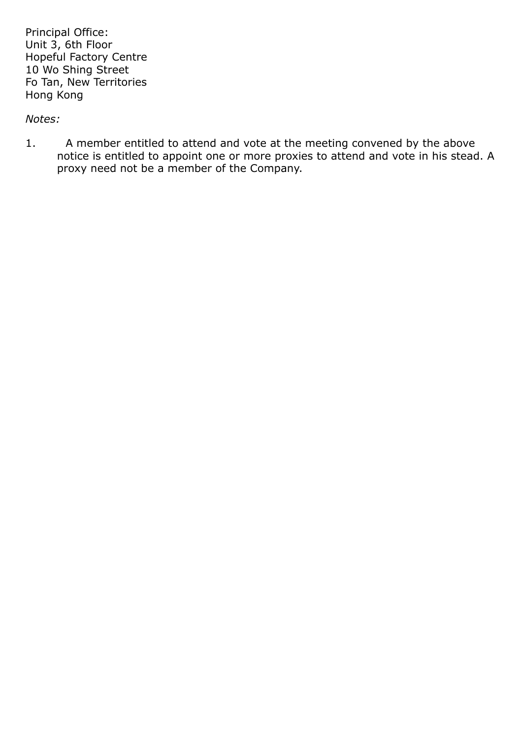Principal Office: Unit 3, 6th Floor Hopeful Factory Centre 10 Wo Shing Street Fo Tan, New Territories Hong Kong

#### Notes:

1. A member entitled to attend and vote at the meeting convened by the above notice is entitled to appoint one or more proxies to attend and vote in his stead. A proxy need not be a member of the Company.